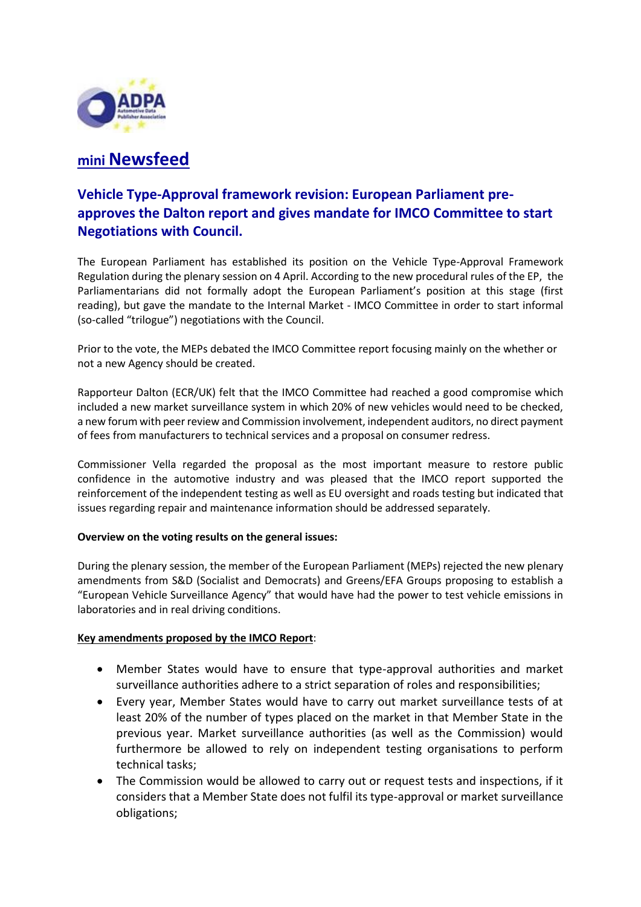

# **mini Newsfeed**

## **Vehicle Type-Approval framework revision: European Parliament preapproves the Dalton report and gives mandate for IMCO Committee to start Negotiations with Council.**

The European Parliament has established its position on the Vehicle Type-Approval Framework Regulation during the plenary session on 4 April. According to the new procedural rules of the EP, the Parliamentarians did not formally adopt the European Parliament's position at this stage (first reading), but gave the mandate to the Internal Market - IMCO Committee in order to start informal (so-called "trilogue") negotiations with the Council.

Prior to the vote, the MEPs debated the IMCO Committee report focusing mainly on the whether or not a new Agency should be created.

Rapporteur Dalton (ECR/UK) felt that the IMCO Committee had reached a good compromise which included a new market surveillance system in which 20% of new vehicles would need to be checked, a new forum with peer review and Commission involvement, independent auditors, no direct payment of fees from manufacturers to technical services and a proposal on consumer redress.

Commissioner Vella regarded the proposal as the most important measure to restore public confidence in the automotive industry and was pleased that the IMCO report supported the reinforcement of the independent testing as well as EU oversight and roads testing but indicated that issues regarding repair and maintenance information should be addressed separately.

#### **Overview on the voting results on the general issues:**

During the plenary session, the member of the European Parliament (MEPs) rejected the new plenary amendments from S&D (Socialist and Democrats) and Greens/EFA Groups proposing to establish a "European Vehicle Surveillance Agency" that would have had the power to test vehicle emissions in laboratories and in real driving conditions.

#### **Key amendments proposed by the IMCO Report**:

- Member States would have to ensure that type-approval authorities and market surveillance authorities adhere to a strict separation of roles and responsibilities;
- Every year, Member States would have to carry out market surveillance tests of at least 20% of the number of types placed on the market in that Member State in the previous year. Market surveillance authorities (as well as the Commission) would furthermore be allowed to rely on independent testing organisations to perform technical tasks;
- The Commission would be allowed to carry out or request tests and inspections, if it considers that a Member State does not fulfil its type-approval or market surveillance obligations;